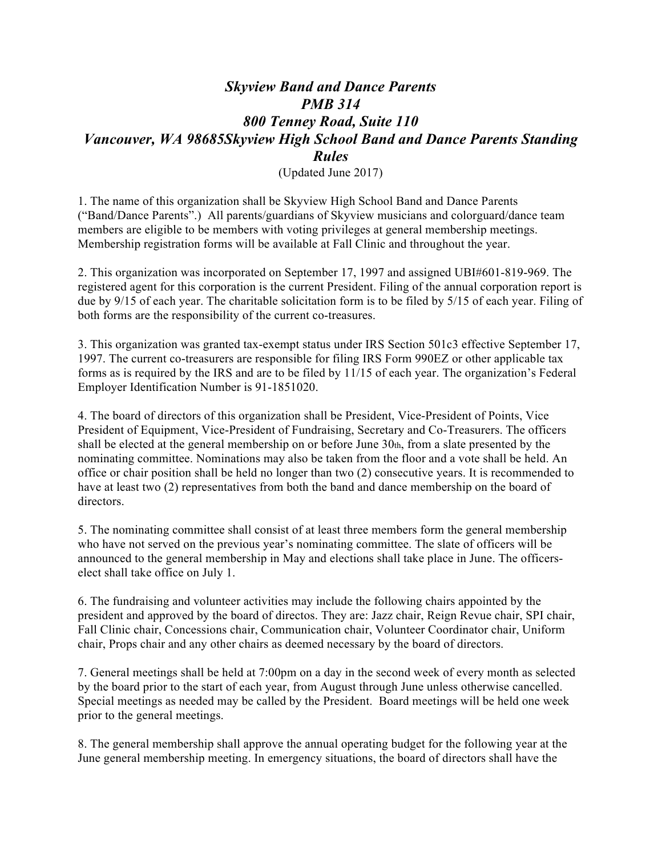## *Skyview Band and Dance Parents PMB 314 800 Tenney Road, Suite 110 Vancouver, WA 98685Skyview High School Band and Dance Parents Standing Rules*

(Updated June 2017)

1. The name of this organization shall be Skyview High School Band and Dance Parents ("Band/Dance Parents".) All parents/guardians of Skyview musicians and colorguard/dance team members are eligible to be members with voting privileges at general membership meetings. Membership registration forms will be available at Fall Clinic and throughout the year.

2. This organization was incorporated on September 17, 1997 and assigned UBI#601-819-969. The registered agent for this corporation is the current President. Filing of the annual corporation report is due by 9/15 of each year. The charitable solicitation form is to be filed by 5/15 of each year. Filing of both forms are the responsibility of the current co-treasures.

3. This organization was granted tax-exempt status under IRS Section 501c3 effective September 17, 1997. The current co-treasurers are responsible for filing IRS Form 990EZ or other applicable tax forms as is required by the IRS and are to be filed by 11/15 of each year. The organization's Federal Employer Identification Number is 91-1851020.

4. The board of directors of this organization shall be President, Vice-President of Points, Vice President of Equipment, Vice-President of Fundraising, Secretary and Co-Treasurers. The officers shall be elected at the general membership on or before June 30th, from a slate presented by the nominating committee. Nominations may also be taken from the floor and a vote shall be held. An office or chair position shall be held no longer than two (2) consecutive years. It is recommended to have at least two (2) representatives from both the band and dance membership on the board of directors.

5. The nominating committee shall consist of at least three members form the general membership who have not served on the previous year's nominating committee. The slate of officers will be announced to the general membership in May and elections shall take place in June. The officerselect shall take office on July 1.

6. The fundraising and volunteer activities may include the following chairs appointed by the president and approved by the board of directos. They are: Jazz chair, Reign Revue chair, SPI chair, Fall Clinic chair, Concessions chair, Communication chair, Volunteer Coordinator chair, Uniform chair, Props chair and any other chairs as deemed necessary by the board of directors.

7. General meetings shall be held at 7:00pm on a day in the second week of every month as selected by the board prior to the start of each year, from August through June unless otherwise cancelled. Special meetings as needed may be called by the President. Board meetings will be held one week prior to the general meetings.

8. The general membership shall approve the annual operating budget for the following year at the June general membership meeting. In emergency situations, the board of directors shall have the